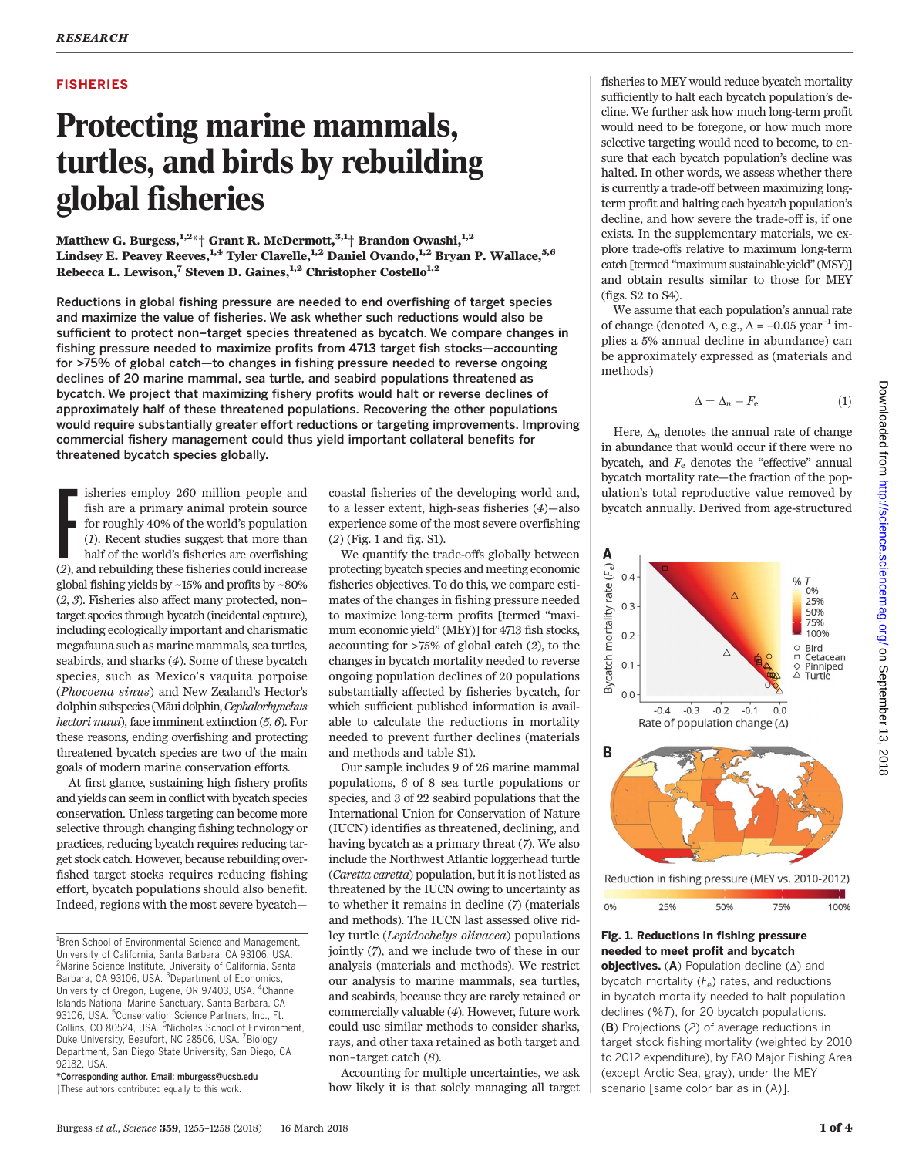## FISHERIES

# Protecting marine mammals, turtles, and birds by rebuilding global fisheries

Matthew G. Burgess, $^{1,2\ast}$ † Grant R. McDermott, $^{3,1+}$  Brandon Owashi, $^{1,2}$ Lindsey E. Peavey Reeves,  $^{1,4}$  Tyler Clavelle,  $^{1,2}$  Daniel Ovando,  $^{1,2}$  Bryan P. Wallace,  $^{5,6}$ Rebecca L. Lewison,<sup>7</sup> Steven D. Gaines,<sup>1,2</sup> Christopher Costello<sup>1,2</sup>

Reductions in global fishing pressure are needed to end overfishing of target species and maximize the value of fisheries. We ask whether such reductions would also be sufficient to protect non–target species threatened as bycatch. We compare changes in fishing pressure needed to maximize profits from 4713 target fish stocks—accounting for >75% of global catch—to changes in fishing pressure needed to reverse ongoing declines of 20 marine mammal, sea turtle, and seabird populations threatened as bycatch. We project that maximizing fishery profits would halt or reverse declines of approximately half of these threatened populations. Recovering the other populations would require substantially greater effort reductions or targeting improvements. Improving commercial fishery management could thus yield important collateral benefits for threatened bycatch species globally.

isheries employ 260 million people and<br>fish are a primary animal protein source<br>for roughly 40% of the world's population<br>(*1*). Recent studies suggest that more than<br>half of the world's fisheries are overfishing<br>(2), and isheries employ 260 million people and fish are a primary animal protein source for roughly 40% of the world's population (1). Recent studies suggest that more than half of the world's fisheries are overfishing global fishing yields by ~15% and profits by ~80% (2, 3). Fisheries also affect many protected, non– target species through bycatch (incidental capture), including ecologically important and charismatic megafauna such as marine mammals, sea turtles, seabirds, and sharks (4). Some of these bycatch species, such as Mexico's vaquita porpoise (Phocoena sinus) and New Zealand's Hector's dolphin subspecies (Māui dolphin, Cephalorhynchus hectori maui), face imminent extinction  $(5, 6)$ . For these reasons, ending overfishing and protecting threatened bycatch species are two of the main goals of modern marine conservation efforts.

At first glance, sustaining high fishery profits and yields can seem in conflict with bycatch species conservation. Unless targeting can become more selective through changing fishing technology or practices, reducing bycatch requires reducing target stock catch. However, because rebuilding overfished target stocks requires reducing fishing effort, bycatch populations should also benefit. Indeed, regions with the most severe bycatch—

\*Corresponding author. Email: mburgess@ucsb.edu †These authors contributed equally to this work.

coastal fisheries of the developing world and, to a lesser extent, high-seas fisheries (4)—also experience some of the most severe overfishing (2) (Fig. 1 and fig. S1).

We quantify the trade-offs globally between protecting bycatch species and meeting economic fisheries objectives. To do this, we compare estimates of the changes in fishing pressure needed to maximize long-term profits [termed "maximum economic yield" (MEY)] for 4713 fish stocks, accounting for >75% of global catch (2), to the changes in bycatch mortality needed to reverse ongoing population declines of 20 populations substantially affected by fisheries bycatch, for which sufficient published information is available to calculate the reductions in mortality needed to prevent further declines (materials and methods and table S1).

Our sample includes 9 of 26 marine mammal populations, 6 of 8 sea turtle populations or species, and 3 of 22 seabird populations that the International Union for Conservation of Nature (IUCN) identifies as threatened, declining, and having bycatch as a primary threat (7). We also include the Northwest Atlantic loggerhead turtle (Caretta caretta) population, but it is not listed as threatened by the IUCN owing to uncertainty as to whether it remains in decline (7) (materials and methods). The IUCN last assessed olive ridley turtle (Lepidochelys olivacea) populations jointly (7), and we include two of these in our analysis (materials and methods). We restrict our analysis to marine mammals, sea turtles, and seabirds, because they are rarely retained or commercially valuable (4). However, future work could use similar methods to consider sharks, rays, and other taxa retained as both target and non–target catch (8).

Accounting for multiple uncertainties, we ask how likely it is that solely managing all target

fisheries to MEY would reduce bycatch mortality sufficiently to halt each bycatch population's decline. We further ask how much long-term profit would need to be foregone, or how much more selective targeting would need to become, to ensure that each bycatch population's decline was halted. In other words, we assess whether there is currently a trade-off between maximizing longterm profit and halting each bycatch population's decline, and how severe the trade-off is, if one exists. In the supplementary materials, we explore trade-offs relative to maximum long-term catch [termed "maximum sustainable yield"(MSY)] and obtain results similar to those for MEY (figs. S2 to S4).

We assume that each population's annual rate of change (denoted  $\Delta$ , e.g.,  $\Delta$  = -0.05 year<sup>-1</sup> implies a 5% annual decline in abundance) can be approximately expressed as (materials and methods)

$$
\Delta = \Delta_n - F_e \tag{1}
$$

Here,  $\Delta_n$  denotes the annual rate of change in abundance that would occur if there were no bycatch, and  $F<sub>e</sub>$  denotes the "effective" annual bycatch mortality rate—the fraction of the population's total reproductive value removed by bycatch annually. Derived from age-structured



## Fig. 1. Reductions in fishing pressure needed to meet profit and bycatch

**objectives.** (A) Population decline  $(\Delta)$  and bycatch mortality  $(F_e)$  rates, and reductions in bycatch mortality needed to halt population declines (%T), for 20 bycatch populations. (B) Projections (2) of average reductions in target stock fishing mortality (weighted by 2010 to 2012 expenditure), by FAO Major Fishing Area (except Arctic Sea, gray), under the MEY scenario [same color bar as in (A)].

<sup>&</sup>lt;sup>1</sup> Bren School of Environmental Science and Management, University of California, Santa Barbara, CA 93106, USA. <sup>2</sup>Marine Science Institute, University of California, Santa Barbara, CA 93106, USA. <sup>3</sup>Department of Economics, University of Oregon, Eugene, OR 97403, USA. <sup>4</sup>Channel Islands National Marine Sanctuary, Santa Barbara, CA 93106, USA. <sup>5</sup>Conservation Science Partners, Inc., Ft. Collins, CO 80524, USA. <sup>6</sup>Nicholas School of Environment, Duke University, Beaufort, NC 28506, USA. <sup>7</sup>Biology Department, San Diego State University, San Diego, CA 92182, USA.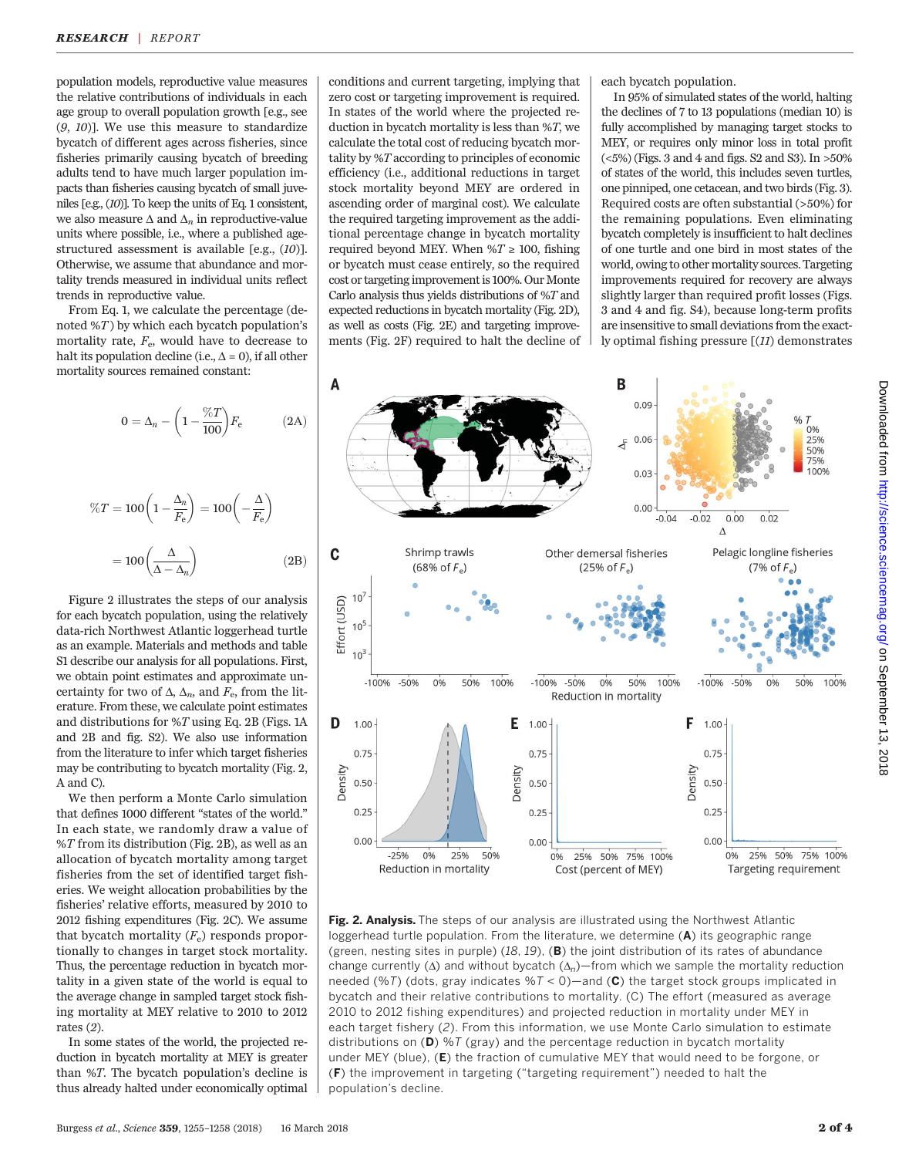population models, reproductive value measures the relative contributions of individuals in each age group to overall population growth [e.g., see (9, 10)]. We use this measure to standardize bycatch of different ages across fisheries, since fisheries primarily causing bycatch of breeding adults tend to have much larger population impacts than fisheries causing bycatch of small juveniles [e.g., (10)]. To keep the units of Eq. 1 consistent, we also measure  $\Delta$  and  $\Delta_n$  in reproductive-value units where possible, i.e., where a published agestructured assessment is available [e.g., (10)]. Otherwise, we assume that abundance and mortality trends measured in individual units reflect trends in reproductive value.

From Eq. 1, we calculate the percentage (denoted  $\mathcal{C}(T)$  by which each bycatch population's mortality rate,  $F_{\rm e}$ , would have to decrease to halt its population decline (i.e.,  $\Delta = 0$ ), if all other mortality sources remained constant:

 $\%7$ 

$$
0 = \Delta_n - \left(1 - \frac{\%T}{100}\right) F_e \qquad (2A)
$$

$$
T = 100 \left(1 - \frac{\Delta_n}{F_e}\right) = 100 \left(-\frac{\Delta}{F_e}\right)
$$

$$
=100\left(\frac{\Delta}{\Delta-\Delta_n}\right) \tag{2B}
$$

Figure 2 illustrates the steps of our analysis for each bycatch population, using the relatively data-rich Northwest Atlantic loggerhead turtle as an example. Materials and methods and table S1 describe our analysis for all populations. First, we obtain point estimates and approximate uncertainty for two of  $\Delta$ ,  $\Delta_n$ , and  $F_e$ , from the literature. From these, we calculate point estimates and distributions for %T using Eq. 2B (Figs. 1A and 2B and fig. S2). We also use information from the literature to infer which target fisheries may be contributing to bycatch mortality (Fig. 2, A and C).

We then perform a Monte Carlo simulation that defines 1000 different "states of the world." In each state, we randomly draw a value of  $\%T$  from its distribution (Fig. 2B), as well as an allocation of bycatch mortality among target fisheries from the set of identified target fisheries. We weight allocation probabilities by the fisheries' relative efforts, measured by 2010 to 2012 fishing expenditures (Fig. 2C). We assume that bycatch mortality  $(F_e)$  responds proportionally to changes in target stock mortality. Thus, the percentage reduction in bycatch mortality in a given state of the world is equal to the average change in sampled target stock fishing mortality at MEY relative to 2010 to 2012 rates (2).

In some states of the world, the projected reduction in bycatch mortality at MEY is greater than %T. The bycatch population's decline is thus already halted under economically optimal

conditions and current targeting, implying that zero cost or targeting improvement is required. In states of the world where the projected reduction in bycatch mortality is less than %T, we calculate the total cost of reducing bycatch mortality by %T according to principles of economic efficiency (i.e., additional reductions in target stock mortality beyond MEY are ordered in ascending order of marginal cost). We calculate the required targeting improvement as the additional percentage change in bycatch mortality required beyond MEY. When % $T \ge 100$ , fishing or bycatch must cease entirely, so the required cost or targeting improvement is 100%. Our Monte Carlo analysis thus yields distributions of %T and expected reductions in bycatch mortality (Fig. 2D), as well as costs (Fig. 2E) and targeting improvements (Fig. 2F) required to halt the decline of each bycatch population.

In 95% of simulated states of the world, halting the declines of 7 to 13 populations (median 10) is fully accomplished by managing target stocks to MEY, or requires only minor loss in total profit (<5%) (Figs. 3 and 4 and figs. S2 and S3). In >50% of states of the world, this includes seven turtles, one pinniped, one cetacean, and two birds (Fig. 3). Required costs are often substantial (>50%) for the remaining populations. Even eliminating bycatch completely is insufficient to halt declines of one turtle and one bird in most states of the world, owing to other mortality sources. Targeting improvements required for recovery are always slightly larger than required profit losses (Figs. 3 and 4 and fig. S4), because long-term profits are insensitive to small deviations from the exactly optimal fishing pressure [(11) demonstrates



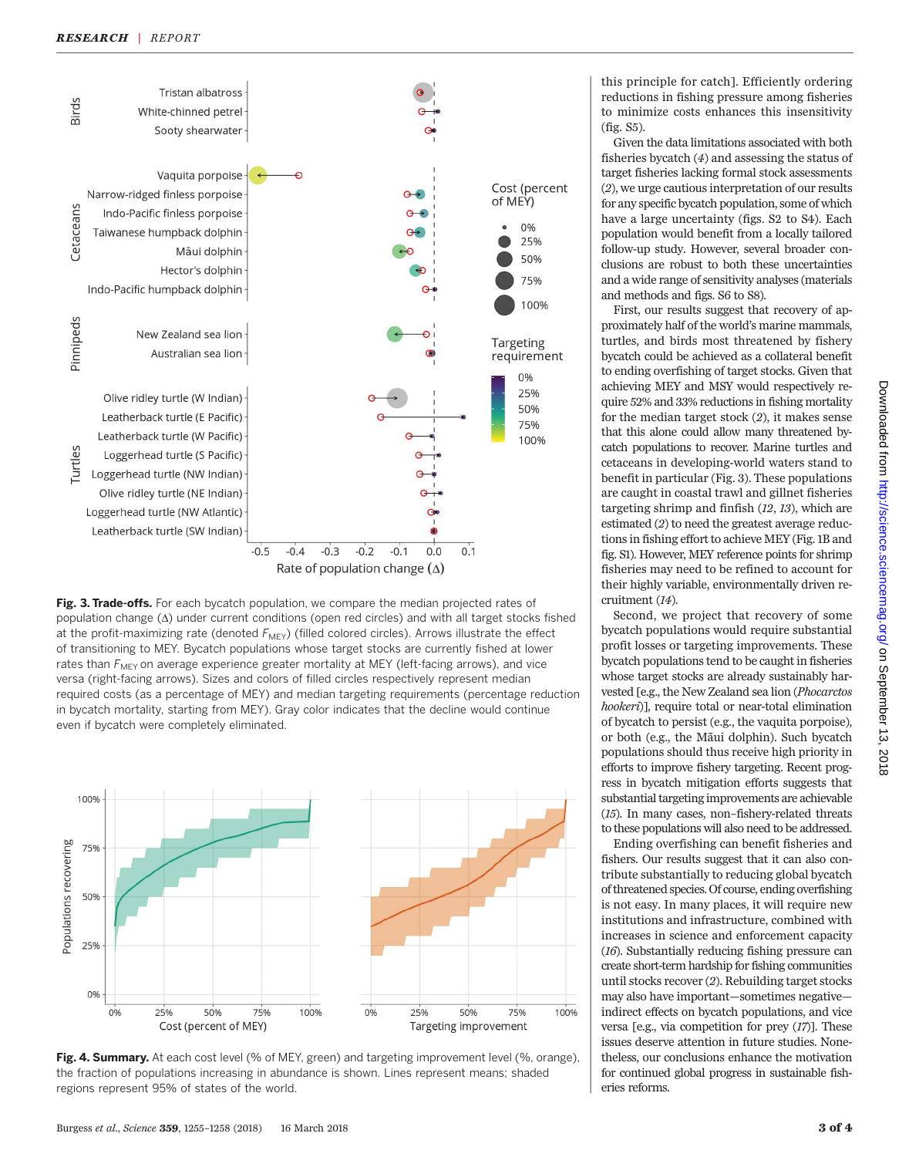

Fig. 3. Trade-offs. For each bycatch population, we compare the median projected rates of population change  $(\Delta)$  under current conditions (open red circles) and with all target stocks fished at the profit-maximizing rate (denoted  $F_{\text{MEY}}$ ) (filled colored circles). Arrows illustrate the effect of transitioning to MEY. Bycatch populations whose target stocks are currently fished at lower rates than  $F_{\text{MEY}}$  on average experience greater mortality at MEY (left-facing arrows), and vice versa (right-facing arrows). Sizes and colors of filled circles respectively represent median required costs (as a percentage of MEY) and median targeting requirements (percentage reduction in bycatch mortality, starting from MEY). Gray color indicates that the decline would continue even if bycatch were completely eliminated.



Fig. 4. Summary. At each cost level (% of MEY, green) and targeting improvement level (%, orange), the fraction of populations increasing in abundance is shown. Lines represent means; shaded regions represent 95% of states of the world.

this principle for catch]. Efficiently ordering reductions in fishing pressure among fisheries to minimize costs enhances this insensitivity (fig. S5).

Given the data limitations associated with both fisheries bycatch (4) and assessing the status of target fisheries lacking formal stock assessments (2), we urge cautious interpretation of our results for any specific bycatch population, some of which have a large uncertainty (figs. S2 to S4). Each population would benefit from a locally tailored follow-up study. However, several broader conclusions are robust to both these uncertainties and a wide range of sensitivity analyses (materials and methods and figs. S6 to S8).

First, our results suggest that recovery of approximately half of the world's marine mammals, turtles, and birds most threatened by fishery bycatch could be achieved as a collateral benefit to ending overfishing of target stocks. Given that achieving MEY and MSY would respectively require 52% and 33% reductions in fishing mortality for the median target stock (2), it makes sense that this alone could allow many threatened bycatch populations to recover. Marine turtles and cetaceans in developing-world waters stand to benefit in particular (Fig. 3). These populations are caught in coastal trawl and gillnet fisheries targeting shrimp and finfish (12, 13), which are estimated (2) to need the greatest average reductions in fishing effort to achieve MEY (Fig. 1B and fig. S1). However, MEY reference points for shrimp fisheries may need to be refined to account for their highly variable, environmentally driven recruitment (14).

Second, we project that recovery of some bycatch populations would require substantial profit losses or targeting improvements. These bycatch populations tend to be caught in fisheries whose target stocks are already sustainably harvested [e.g., the New Zealand sea lion (Phocarctos hookeri)], require total or near-total elimination of bycatch to persist (e.g., the vaquita porpoise), or both (e.g., the Māui dolphin). Such bycatch populations should thus receive high priority in efforts to improve fishery targeting. Recent progress in bycatch mitigation efforts suggests that substantial targeting improvements are achievable (15). In many cases, non–fishery-related threats to these populations will also need to be addressed.

Ending overfishing can benefit fisheries and fishers. Our results suggest that it can also contribute substantially to reducing global bycatch of threatened species. Of course, ending overfishing is not easy. In many places, it will require new institutions and infrastructure, combined with increases in science and enforcement capacity (16). Substantially reducing fishing pressure can create short-term hardship for fishing communities until stocks recover (2). Rebuilding target stocks may also have important—sometimes negative indirect effects on bycatch populations, and vice versa [e.g., via competition for prey (17)]. These issues deserve attention in future studies. Nonetheless, our conclusions enhance the motivation for continued global progress in sustainable fisheries reforms.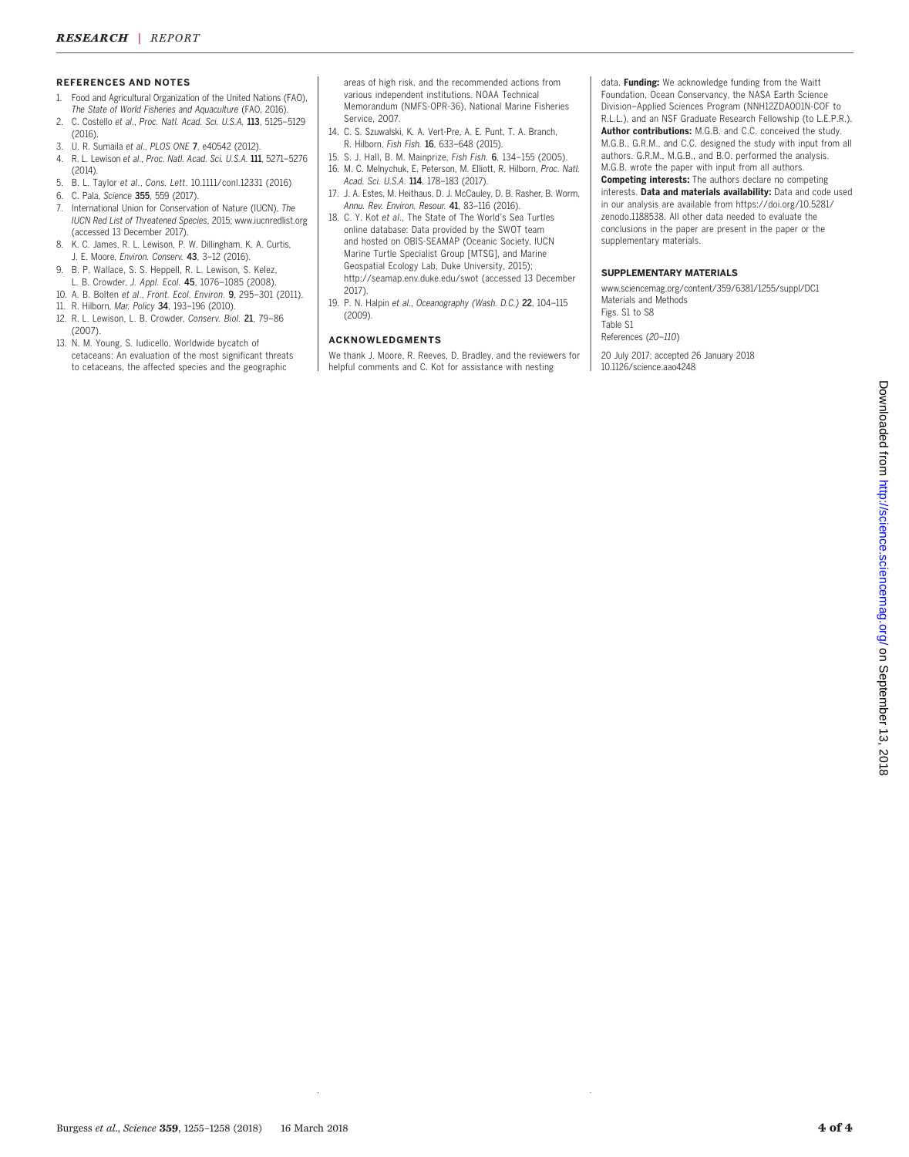### REFERENCES AND NOTES

- 1. Food and Agricultural Organization of the United Nations (FAO),
- The State of World Fisheries and Aquaculture (FAO, 2016). 2. C. Costello et al., Proc. Natl. Acad. Sci. U.S.A. 113, 5125–5129 (2016).
- 3. U. R. Sumaila et al., PLOS ONE 7, e40542 (2012).<br>4. R. L. Lewison et al., Proc. Natl. Acad. Sci. U.S.A. 111
- 4. R. L. Lewison et al., Proc. Natl. Acad. Sci. U.S.A. 111, 5271–5276 (2014).
- 5. B. L. Taylor et al., Cons. Lett. 10.1111/conl.12331 (2016)
- 6. C. Pala, Science 355, 559 (2017).
- 7. International Union for Conservation of Nature (IUCN), The IUCN Red List of Threatened Species, 2015; [www.iucnredlist.org](http://www.iucnredlist.org) (accessed 13 December 2017).
- 8. K. C. James, R. L. Lewison, P. W. Dillingham, K. A. Curtis, J. E. Moore, Environ. Conserv. 43, 3–12 (2016).
- 9. B. P. Wallace, S. S. Heppell, R. L. Lewison, S. Kelez, L. B. Crowder, J. Appl. Ecol. 45, 1076–1085 (2008).
- 10. A. B. Bolten et al., Front. Ecol. Environ. 9, 295–301 (2011).
- 11. R. Hilborn, Mar. Policy 34, 193–196 (2010).
- 12. R. L. Lewison, L. B. Crowder, Conserv. Biol. 21, 79–86 (2007).
- 13. N. M. Young, S. Iudicello, Worldwide bycatch of cetaceans: An evaluation of the most significant threats to cetaceans, the affected species and the geographic

areas of high risk, and the recommended actions from various independent institutions. NOAA Technical Memorandum (NMFS-OPR-36), National Marine Fisheries Service, 2007.

- 14. C. S. Szuwalski, K. A. Vert-Pre, A. E. Punt, T. A. Branch, R. Hilborn, Fish Fish. 16, 633–648 (2015).
- 15. S. J. Hall, B. M. Mainprize, Fish Fish. 6, 134–155 (2005). 16. M. C. Melnychuk, E. Peterson, M. Elliott, R. Hilborn, Proc. Natl. Acad. Sci. U.S.A. 114, 178–183 (2017).
- 17. J. A. Estes, M. Heithaus, D. J. McCauley, D. B. Rasher, B. Worm, Annu. Rev. Environ. Resour. 41, 83–116 (2016).
- 18. C. Y. Kot et al., The State of The World's Sea Turtles online database: Data provided by the SWOT team and hosted on OBIS-SEAMAP (Oceanic Society, IUCN Marine Turtle Specialist Group [MTSG], and Marine Geospatial Ecology Lab, Duke University, 2015); <http://seamap.env.duke.edu/swot> (accessed 13 December 2017).
- 19. P. N. Halpin et al., Oceanography (Wash. D.C.) 22, 104–115 (2009).

### ACKNOWLEDGMENTS

We thank J. Moore, R. Reeves, D. Bradley, and the reviewers for helpful comments and C. Kot for assistance with nesting

data. Funding: We acknowledge funding from the Waitt Foundation, Ocean Conservancy, the NASA Earth Science Division–Applied Sciences Program (NNH12ZDA001N-COF to R.L.L.), and an NSF Graduate Research Fellowship (to L.E.P.R.). Author contributions: M.G.B. and C.C. conceived the study. M.G.B., G.R.M., and C.C. designed the study with input from all authors. G.R.M., M.G.B., and B.O. performed the analysis. M.G.B. wrote the paper with input from all authors.

Competing interests: The authors declare no competing interests. Data and materials availability: Data and code used in our analysis are available from [https://doi.org/10.5281/](https://doi.org/10.5281/zenodo.1188538) [zenodo.1188538](https://doi.org/10.5281/zenodo.1188538). All other data needed to evaluate the conclusions in the paper are present in the paper or the supplementary materials.

#### SUPPLEMENTARY MATERIALS

[www.sciencemag.org/content/359/6381/1255/suppl/DC1](http://www.sciencemag.org/content/359/6381/1255/suppl/DC1) Materials and Methods Figs. S1 to S8 Table S1 References (20–110)

20 July 2017; accepted 26 January 2018 10.1126/science.aao4248